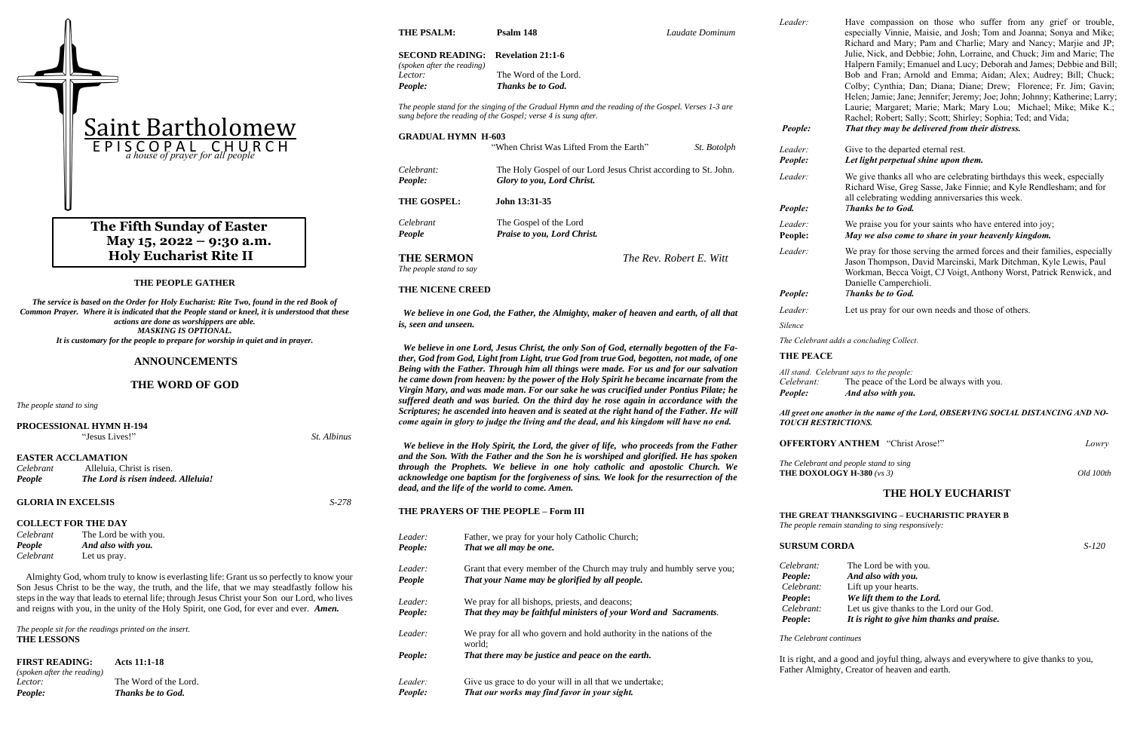### **THE PEOPLE GATHER**

*The service is based on the Order for Holy Eucharist: Rite Two, found in the red Book of Common Prayer. Where it is indicated that the People stand or kneel, it is understood that these actions are done as worshippers are able. MASKING IS OPTIONAL. It is customary for the people to prepare for worship in quiet and in prayer.*

### **ANNOUNCEMENTS**

#### **THE WORD OF GOD**

*The people stand to sing*

| <b>PROCESSIONAL HYMN H-194</b><br>"Jesus Lives!"<br><i>St. Albinus</i> |                                     |       |  |  |
|------------------------------------------------------------------------|-------------------------------------|-------|--|--|
|                                                                        |                                     |       |  |  |
|                                                                        | <b>EASTER ACCLAMATION</b>           |       |  |  |
| Celebrant                                                              | Alleluia, Christ is risen.          |       |  |  |
| People                                                                 | The Lord is risen indeed. Alleluia! |       |  |  |
| <b>GLORIA IN EXCELSIS</b>                                              |                                     | S-278 |  |  |
| <b>COLLECT FOR THE DAY</b>                                             |                                     |       |  |  |
| Celebrant                                                              | The Lord be with you.               |       |  |  |
| People                                                                 | And also with you.                  |       |  |  |
| Celebrant                                                              | Let us pray.                        |       |  |  |

 Almighty God, whom truly to know is everlasting life: Grant us so perfectly to know your Son Jesus Christ to be the way, the truth, and the life, that we may steadfastly follow his steps in the way that leads to eternal life; through Jesus Christ your Son our Lord, who lives and reigns with you, in the unity of the Holy Spirit, one God, for ever and ever. *Amen.*

*The people sit for the readings printed on the insert.* **THE LESSONS**

**FIRST READING:****Acts 11:1-18** *(spoken after the reading) Lector:* The Word of the Lord. *People: Thanks be to God.*

**THE PSALM: Psalm 148** *Laudate Dominum*

#### **SECOND READING: Revelation 21:1-6** *(spoken after the reading) Lector:* The Word of the Lord.

*People: Thanks be to God.*

*The people stand for the singing of the Gradual Hymn and the reading of the Gospel. Verses 1-3 are sung before the reading of the Gospel; verse 4 is sung after.*

| <b>GRADUAL HYMN H-603</b>                                                           |                                                                                               |                    | 1 copic. |
|-------------------------------------------------------------------------------------|-----------------------------------------------------------------------------------------------|--------------------|----------|
|                                                                                     | "When Christ Was Lifted From the Earth"                                                       | <i>St.</i> Botolph | Leader:  |
|                                                                                     |                                                                                               |                    | People:  |
| Celebrant:<br>People:                                                               | The Holy Gospel of our Lord Jesus Christ according to St. John.<br>Glory to you, Lord Christ. |                    | Leader:  |
| <b>THE GOSPEL:</b>                                                                  | John 13:31-35                                                                                 |                    | People:  |
| Celebrant                                                                           | The Gospel of the Lord                                                                        |                    | Leader:  |
| People                                                                              | Praise to you, Lord Christ.                                                                   |                    | People:  |
| <b>THE SERMON</b><br>The people stand to say                                        | The Rev. Robert E. Witt                                                                       |                    | Leader:  |
| THE NICENE CREED                                                                    |                                                                                               |                    | People:  |
| We holique in one Cod the Eather the Almighty maker of heaven and earth of all that |                                                                                               |                    | Leader:  |

 *We believe in one God, the Father, the Almighty, maker of heaven and earth, of all that is, seen and unseen.*

 *We believe in one Lord, Jesus Christ, the only Son of God, eternally begotten of the Father, God from God, Light from Light, true God from true God, begotten, not made, of one Being with the Father. Through him all things were made. For us and for our salvation he came down from heaven: by the power of the Holy Spirit he became incarnate from the Virgin Mary, and was made man. For our sake he was crucified under Pontius Pilate; he suffered death and was buried. On the third day he rose again in accordance with the Scriptures; he ascended into heaven and is seated at the right hand of the Father. He will come again in glory to judge the living and the dead, and his kingdom will have no end.*

We praise you for your saints who have entered into joy; **People:** *May we also come to share in your heavenly kingdom.*

We pray for those serving the armed forces and their families, especially Jason Thompson, David Marcinski, Mark Ditchman, Kyle Lewis, Paul Workman, Becca Voigt, CJ Voigt, Anthony Worst, Patrick Renwick, and Danielle Camperchioli. *Phanks be to God.* 

Let us pray for our own needs and those of others.

*The Celebrant and people stand to sing*  **THE DOXOLOGY H-380** (*vs 3*) Old 100th

 *We believe in the Holy Spirit, the Lord, the giver of life, who proceeds from the Father and the Son. With the Father and the Son he is worshiped and glorified. He has spoken through the Prophets. We believe in one holy catholic and apostolic Church. We acknowledge one baptism for the forgiveness of sins. We look for the resurrection of the dead, and the life of the world to come. Amen.*

**THE PRAYERS OF THE PEOPLE – Form III**

*Leader:* Father, we pray for your holy Catholic Church;

# **The Fifth Sunday of Easter May 15, 2022 – 9:30 a.m. Holy Eucharist Rite II**

| People: | That we all may be one.                                                       | <b>SUR</b>   |
|---------|-------------------------------------------------------------------------------|--------------|
| Leader: | Grant that every member of the Church may truly and humbly serve you;         | Celei        |
| People  | That your Name may be glorified by all people.                                | Peop<br>Cele |
| Leader: | We pray for all bishops, priests, and deacons;                                | Peop         |
| People: | That they may be faithful ministers of your Word and Sacraments.              | Cele<br>Peop |
| Leader: | We pray for all who govern and hold authority in the nations of the<br>world: | The C        |
| People: | That there may be justice and peace on the earth.                             | It is $1$    |
|         |                                                                               | Fathe        |
| Leader: | Give us grace to do your will in all that we undertake;                       |              |
| People: | That our works may find favor in your sight.                                  |              |

*Leader:* Have compassion on those who suffer from any grief or trouble, especially Vinnie, Maisie, and Josh; Tom and Joanna; Sonya and Mike; Richard and Mary; Pam and Charlie; Mary and Nancy; Marjie and JP; Julie, Nick, and Debbie; John, Lorraine, and Chuck; Jim and Marie; The Halpern Family; Emanuel and Lucy; Deborah and James; Debbie and Bill; Bob and Fran; Arnold and Emma; Aidan; Alex; Audrey; Bill; Chuck; Colby; Cynthia; Dan; Diana; Diane; Drew; Florence; Fr. Jim; Gavin; Helen; Jamie; Jane; Jennifer; Jeremy; Joe; John; Johnny; Katherine; Larry; Laurie; Margaret; Marie; Mark; Mary Lou; Michael; Mike; Mike K.; Rachel; Robert; Sally; Scott; Shirley; Sophia; Ted; and Vida; *People: That they may be delivered from their distress.*

## Give to the departed eternal rest. *Let light perpetual shine upon them.*

We give thanks all who are celebrating birthdays this week, especially Richard Wise, Greg Sasse, Jake Finnie; and Kyle Rendlesham; and for all celebrating wedding anniversaries this week. *Phanks be to God.* 

*Silence*

*The Celebrant adds a concluding Collect.*

**THE PEACE**

*All stand. Celebrant says to the people: Celebrant:* The peace of the Lord be always with you. *People: And also with you.*

### *All greet one another in the name of the Lord, OBSERVING SOCIAL DISTANCING AND NO-TOUCH RESTRICTIONS.*

| <b>OFFERTORY ANTHEM</b> "Christ Arose!" | Lowrv |
|-----------------------------------------|-------|
|                                         |       |

**THE HOLY EUCHARIST**

## **THE GREAT THANKSGIVING – EUCHARISTIC PRAYER B**

*The people remain standing to sing responsively:* 

# **SURSUM CORDA** *S-120*

*Celebrant:* The Lord be with you. *People:* And also with you. *Perant:* Lift up your hearts. *People***:** *We lift them to the Lord. ebrant:* Let us give thanks to the Lord our God. *People*: *<i>It is right to give him thanks and praise.* 

#### *The Celebrant continues*

right, and a good and joyful thing, always and everywhere to give thanks to you, er Almighty, Creator of heaven and earth.